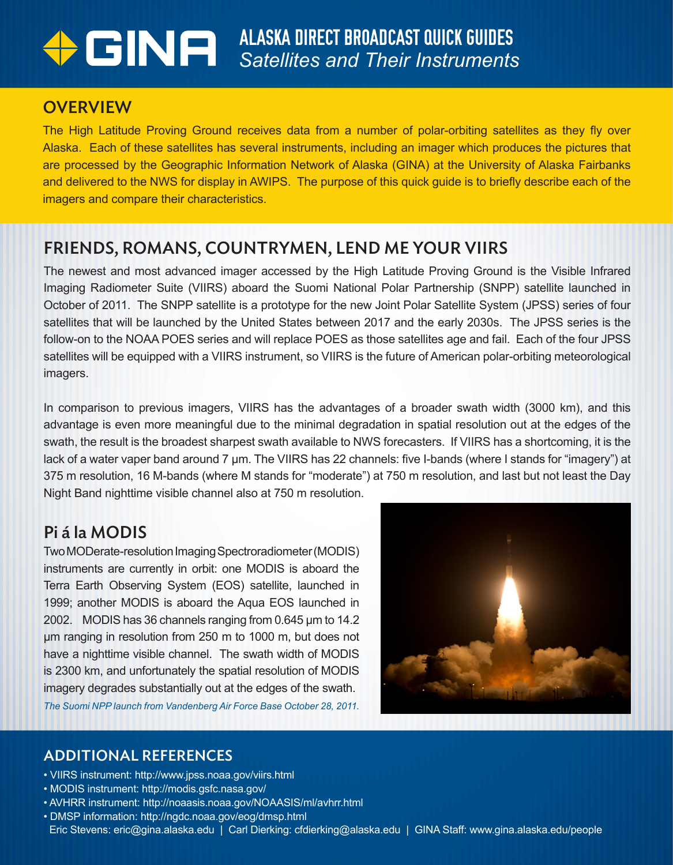# ALASKA DIRECT BROADCAST QUICK GUIDES *Satellites and Their Instruments*

## **OVERVIEW**

The High Latitude Proving Ground receives data from a number of polar-orbiting satellites as they fly over Alaska. Each of these satellites has several instruments, including an imager which produces the pictures that are processed by the Geographic Information Network of Alaska (GINA) at the University of Alaska Fairbanks and delivered to the NWS for display in AWIPS. The purpose of this quick guide is to briefly describe each of the imagers and compare their characteristics.

## FRIENDS, ROMANS, COUNTRYMEN, LEND ME YOUR VIIRS

The newest and most advanced imager accessed by the High Latitude Proving Ground is the Visible Infrared Imaging Radiometer Suite (VIIRS) aboard the Suomi National Polar Partnership (SNPP) satellite launched in October of 2011. The SNPP satellite is a prototype for the new Joint Polar Satellite System (JPSS) series of four satellites that will be launched by the United States between 2017 and the early 2030s. The JPSS series is the follow-on to the NOAA POES series and will replace POES as those satellites age and fail. Each of the four JPSS satellites will be equipped with a VIIRS instrument, so VIIRS is the future of American polar-orbiting meteorological imagers.

In comparison to previous imagers, VIIRS has the advantages of a broader swath width (3000 km), and this advantage is even more meaningful due to the minimal degradation in spatial resolution out at the edges of the swath, the result is the broadest sharpest swath available to NWS forecasters. If VIIRS has a shortcoming, it is the lack of a water vaper band around 7 µm. The VIIRS has 22 channels: five I-bands (where I stands for "imagery") at 375 m resolution, 16 M-bands (where M stands for "moderate") at 750 m resolution, and last but not least the Day Night Band nighttime visible channel also at 750 m resolution.

## Pi á la MODIS

Two MODerate-resolution Imaging Spectroradiometer (MODIS) instruments are currently in orbit: one MODIS is aboard the Terra Earth Observing System (EOS) satellite, launched in 1999; another MODIS is aboard the Aqua EOS launched in 2002. MODIS has 36 channels ranging from 0.645 µm to 14.2 µm ranging in resolution from 250 m to 1000 m, but does not have a nighttime visible channel. The swath width of MODIS is 2300 km, and unfortunately the spatial resolution of MODIS imagery degrades substantially out at the edges of the swath. *The Suomi NPP launch from Vandenberg Air Force Base October 28, 2011.*



#### ADDITIONAL REFERENCES

- VIIRS instrument: http://www.jpss.noaa.gov/viirs.html
- MODIS instrument: http://modis.gsfc.nasa.gov/
- AVHRR instrument: http://noaasis.noaa.gov/NOAASIS/ml/avhrr.html
- DMSP information: http://ngdc.noaa.gov/eog/dmsp.html Eric Stevens: eric@gina.alaska.edu | Carl Dierking: cfdierking@alaska.edu | GINA Staff: www.gina.alaska.edu/people